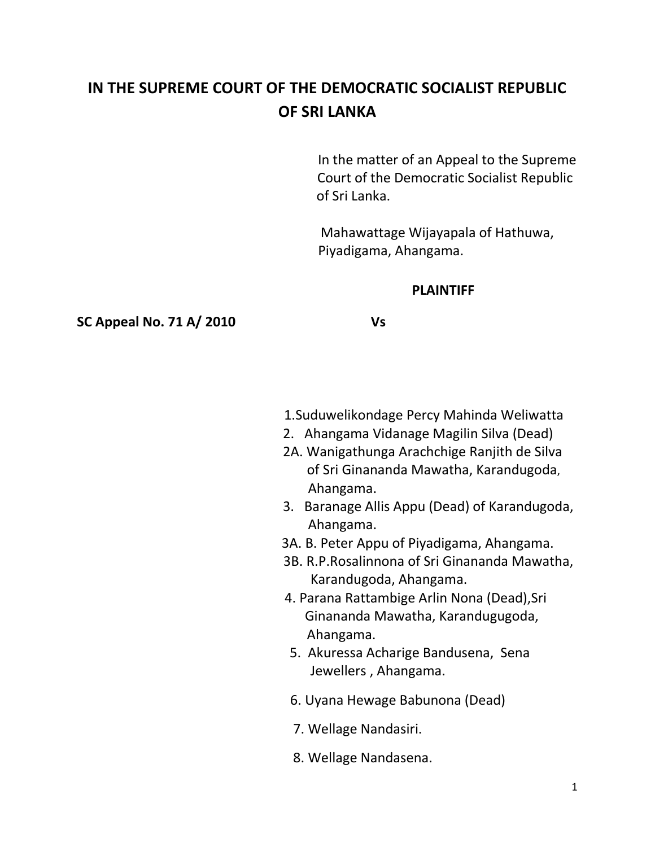# **IN THE SUPREME COURT OF THE DEMOCRATIC SOCIALIST REPUBLIC OF SRI LANKA**

 In the matter of an Appeal to the Supreme Court of the Democratic Socialist Republic of Sri Lanka.

 Mahawattage Wijayapala of Hathuwa, Piyadigama, Ahangama.

#### **PLAINTIFF**

**SC Appeal No. 71 A/ 2010 Vs**

- 1.Suduwelikondage Percy Mahinda Weliwatta
- 2. Ahangama Vidanage Magilin Silva (Dead)
- 2A. Wanigathunga Arachchige Ranjith de Silva of Sri Ginananda Mawatha, Karandugoda, Ahangama.
- 3. Baranage Allis Appu (Dead) of Karandugoda, Ahangama.
- 3A. B. Peter Appu of Piyadigama, Ahangama.
- 3B. R.P.Rosalinnona of Sri Ginananda Mawatha, Karandugoda, Ahangama.
- 4. Parana Rattambige Arlin Nona (Dead),Sri Ginananda Mawatha, Karandugugoda, Ahangama.
- 5. Akuressa Acharige Bandusena, Sena Jewellers , Ahangama.
- 6. Uyana Hewage Babunona (Dead)
- 7. Wellage Nandasiri.
- 8. Wellage Nandasena.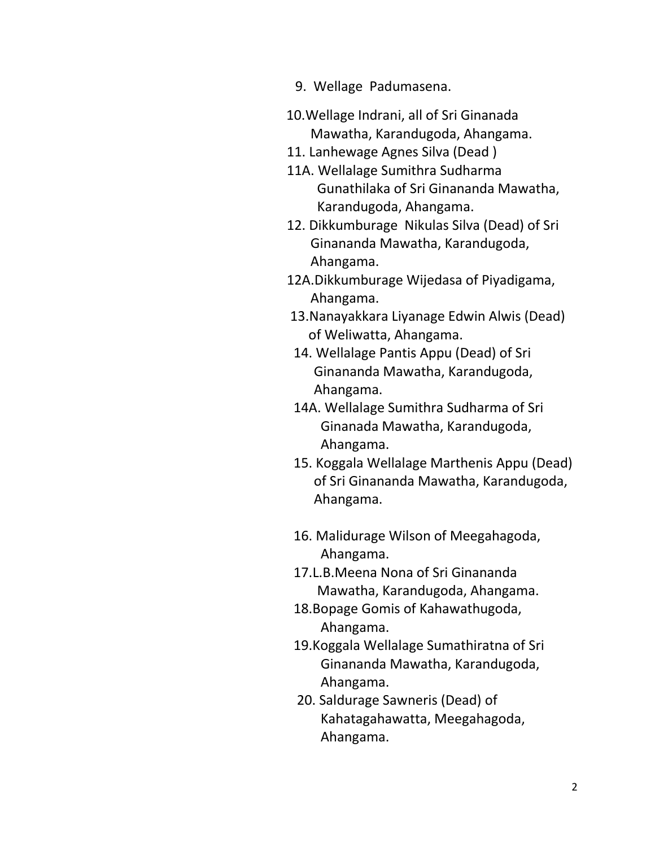- 9. Wellage Padumasena.
- 10.Wellage Indrani, all of Sri Ginanada Mawatha, Karandugoda, Ahangama.
- 11. Lanhewage Agnes Silva (Dead )
- 11A. Wellalage Sumithra Sudharma Gunathilaka of Sri Ginananda Mawatha, Karandugoda, Ahangama.
- 12. Dikkumburage Nikulas Silva (Dead) of Sri Ginananda Mawatha, Karandugoda, Ahangama.
- 12A.Dikkumburage Wijedasa of Piyadigama, Ahangama.
- 13.Nanayakkara Liyanage Edwin Alwis (Dead) of Weliwatta, Ahangama.
- 14. Wellalage Pantis Appu (Dead) of Sri Ginananda Mawatha, Karandugoda, Ahangama.
- 14A. Wellalage Sumithra Sudharma of Sri Ginanada Mawatha, Karandugoda, Ahangama.
- 15. Koggala Wellalage Marthenis Appu (Dead) of Sri Ginananda Mawatha, Karandugoda, Ahangama.
- 16. Malidurage Wilson of Meegahagoda, Ahangama.
- 17.L.B.Meena Nona of Sri Ginananda Mawatha, Karandugoda, Ahangama.
- 18.Bopage Gomis of Kahawathugoda, Ahangama.
- 19.Koggala Wellalage Sumathiratna of Sri Ginananda Mawatha, Karandugoda, Ahangama.
- 20. Saldurage Sawneris (Dead) of Kahatagahawatta, Meegahagoda, Ahangama.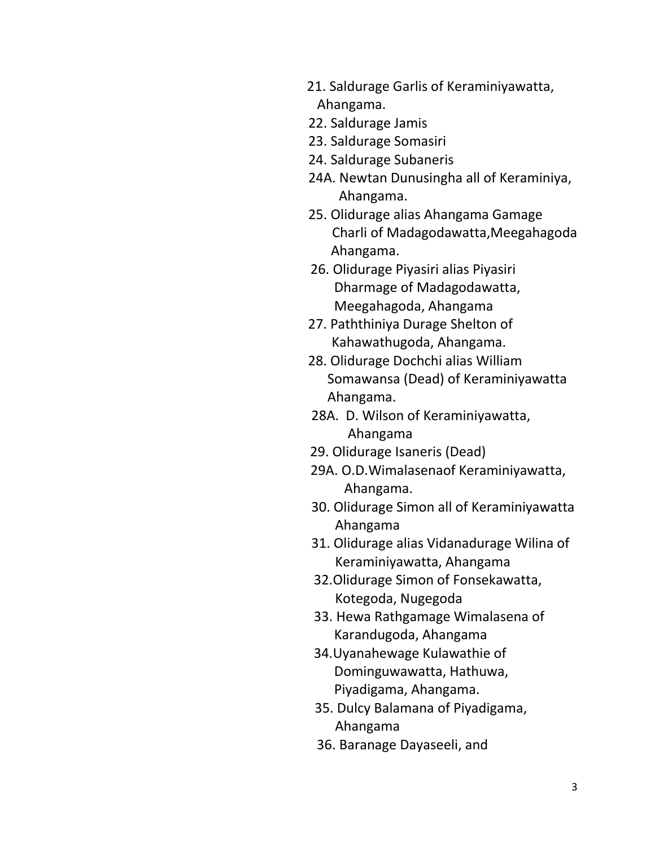- 21. Saldurage Garlis of Keraminiyawatta, Ahangama.
- 22. Saldurage Jamis
- 23. Saldurage Somasiri
- 24. Saldurage Subaneris
- 24A. Newtan Dunusingha all of Keraminiya, Ahangama.
- 25. Olidurage alias Ahangama Gamage Charli of Madagodawatta,Meegahagoda Ahangama.
- 26. Olidurage Piyasiri alias Piyasiri Dharmage of Madagodawatta, Meegahagoda, Ahangama
- 27. Paththiniya Durage Shelton of Kahawathugoda, Ahangama.
- 28. Olidurage Dochchi alias William Somawansa (Dead) of Keraminiyawatta Ahangama.
- 28A. D. Wilson of Keraminiyawatta, Ahangama
- 29. Olidurage Isaneris (Dead)
- 29A. O.D.Wimalasenaof Keraminiyawatta, Ahangama.
- 30. Olidurage Simon all of Keraminiyawatta Ahangama
- 31. Olidurage alias Vidanadurage Wilina of Keraminiyawatta, Ahangama
- 32.Olidurage Simon of Fonsekawatta, Kotegoda, Nugegoda
- 33. Hewa Rathgamage Wimalasena of Karandugoda, Ahangama
- 34.Uyanahewage Kulawathie of Dominguwawatta, Hathuwa, Piyadigama, Ahangama.
- 35. Dulcy Balamana of Piyadigama, Ahangama
- 36. Baranage Dayaseeli, and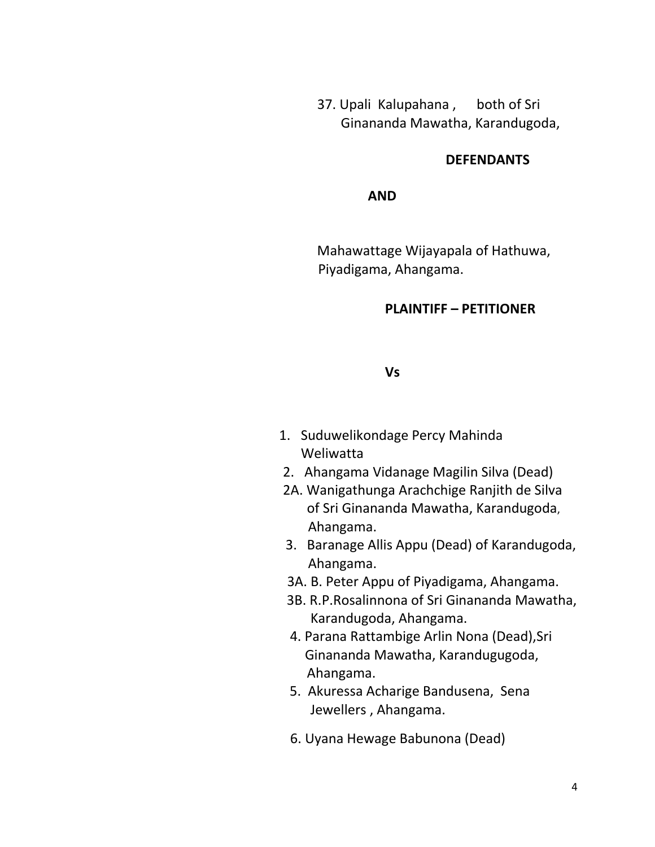37. Upali Kalupahana , both of Sri Ginananda Mawatha, Karandugoda,

#### **DEFENDANTS**

### *AND*

 Mahawattage Wijayapala of Hathuwa, Piyadigama, Ahangama.

#### **PLAINTIFF – PETITIONER**

#### **Vs**

- 1. Suduwelikondage Percy Mahinda Weliwatta
- 2. Ahangama Vidanage Magilin Silva (Dead)
- 2A. Wanigathunga Arachchige Ranjith de Silva of Sri Ginananda Mawatha, Karandugoda, Ahangama.
- 3. Baranage Allis Appu (Dead) of Karandugoda, Ahangama.
- 3A. B. Peter Appu of Piyadigama, Ahangama.
- 3B. R.P.Rosalinnona of Sri Ginananda Mawatha, Karandugoda, Ahangama.
- 4. Parana Rattambige Arlin Nona (Dead),Sri Ginananda Mawatha, Karandugugoda, Ahangama.
- 5. Akuressa Acharige Bandusena, Sena Jewellers , Ahangama.
- 6. Uyana Hewage Babunona (Dead)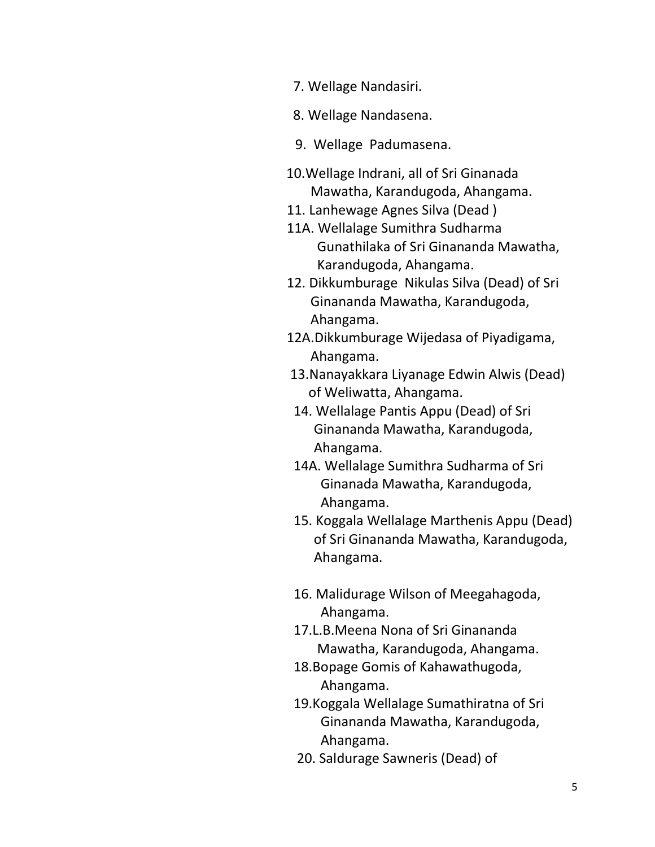- 7. Wellage Nandasiri.
- 8. Wellage Nandasena.
- 9. Wellage Padumasena.
- 10.Wellage Indrani, all of Sri Ginanada Mawatha, Karandugoda, Ahangama.
- 11. Lanhewage Agnes Silva (Dead )
- 11A. Wellalage Sumithra Sudharma Gunathilaka of Sri Ginananda Mawatha, Karandugoda, Ahangama.
- 12. Dikkumburage Nikulas Silva (Dead) of Sri Ginananda Mawatha, Karandugoda, Ahangama.
- 12A.Dikkumburage Wijedasa of Piyadigama, Ahangama.
- 13.Nanayakkara Liyanage Edwin Alwis (Dead) of Weliwatta, Ahangama.
- 14. Wellalage Pantis Appu (Dead) of Sri Ginananda Mawatha, Karandugoda, Ahangama.
- 14A. Wellalage Sumithra Sudharma of Sri Ginanada Mawatha, Karandugoda, Ahangama.
- 15. Koggala Wellalage Marthenis Appu (Dead) of Sri Ginananda Mawatha, Karandugoda, Ahangama.
- 16. Malidurage Wilson of Meegahagoda, Ahangama.
- 17.L.B.Meena Nona of Sri Ginananda Mawatha, Karandugoda, Ahangama.
- 18.Bopage Gomis of Kahawathugoda, Ahangama.
- 19.Koggala Wellalage Sumathiratna of Sri Ginananda Mawatha, Karandugoda, Ahangama.
- 20. Saldurage Sawneris (Dead) of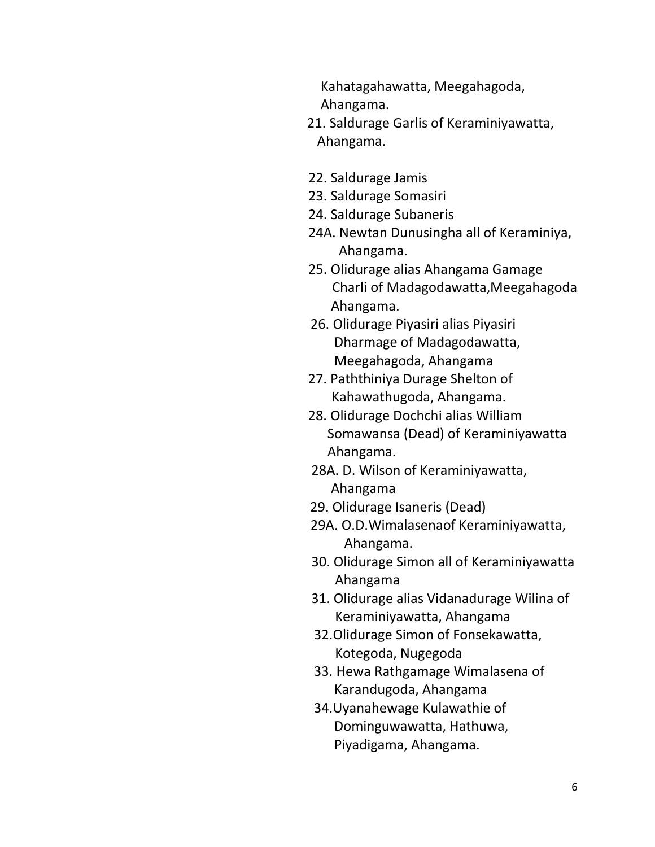Kahatagahawatta, Meegahagoda, Ahangama.

- 21. Saldurage Garlis of Keraminiyawatta, Ahangama.
- 22. Saldurage Jamis
- 23. Saldurage Somasiri
- 24. Saldurage Subaneris
- 24A. Newtan Dunusingha all of Keraminiya, Ahangama.
- 25. Olidurage alias Ahangama Gamage Charli of Madagodawatta,Meegahagoda Ahangama.
- 26. Olidurage Piyasiri alias Piyasiri Dharmage of Madagodawatta, Meegahagoda, Ahangama
- 27. Paththiniya Durage Shelton of Kahawathugoda, Ahangama.
- 28. Olidurage Dochchi alias William Somawansa (Dead) of Keraminiyawatta Ahangama.
- 28A. D. Wilson of Keraminiyawatta, Ahangama
- 29. Olidurage Isaneris (Dead)
- 29A. O.D.Wimalasenaof Keraminiyawatta, Ahangama.
- 30. Olidurage Simon all of Keraminiyawatta Ahangama
- 31. Olidurage alias Vidanadurage Wilina of Keraminiyawatta, Ahangama
- 32.Olidurage Simon of Fonsekawatta, Kotegoda, Nugegoda
- 33. Hewa Rathgamage Wimalasena of Karandugoda, Ahangama
- 34.Uyanahewage Kulawathie of Dominguwawatta, Hathuwa, Piyadigama, Ahangama.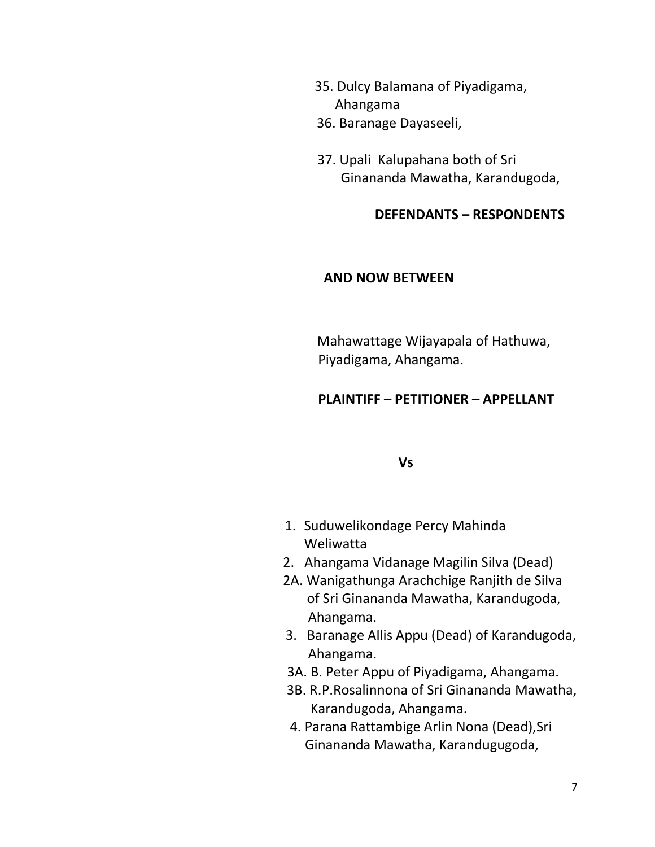- 35. Dulcy Balamana of Piyadigama, Ahangama
- 36. Baranage Dayaseeli,
- 37. Upali Kalupahana both of Sri Ginananda Mawatha, Karandugoda,

## **DEFENDANTS – RESPONDENTS**

#### **AND NOW BETWEEN**

Mahawattage Wijayapala of Hathuwa, Piyadigama, Ahangama.

## **PLAINTIFF – PETITIONER – APPELLANT**

 **Vs**

- 1. Suduwelikondage Percy Mahinda Weliwatta
- 2. Ahangama Vidanage Magilin Silva (Dead)
- 2A. Wanigathunga Arachchige Ranjith de Silva of Sri Ginananda Mawatha, Karandugoda, Ahangama.
- 3. Baranage Allis Appu (Dead) of Karandugoda, Ahangama.
- 3A. B. Peter Appu of Piyadigama, Ahangama.
- 3B. R.P.Rosalinnona of Sri Ginananda Mawatha, Karandugoda, Ahangama.
- 4. Parana Rattambige Arlin Nona (Dead),Sri Ginananda Mawatha, Karandugugoda,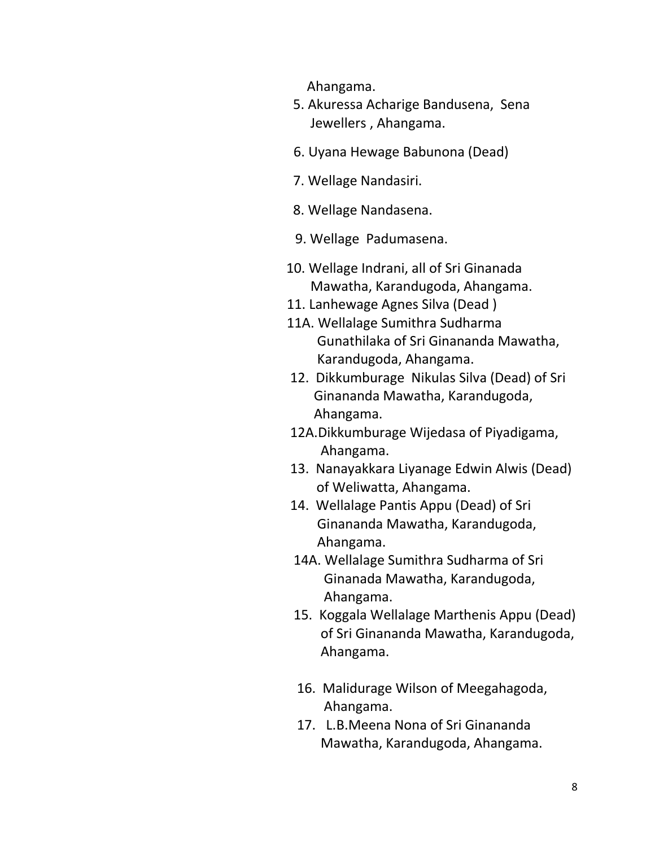Ahangama.

- 5. Akuressa Acharige Bandusena, Sena Jewellers , Ahangama.
- 6. Uyana Hewage Babunona (Dead)
- 7. Wellage Nandasiri.
- 8. Wellage Nandasena.
- 9. Wellage Padumasena.
- 10. Wellage Indrani, all of Sri Ginanada Mawatha, Karandugoda, Ahangama.
- 11. Lanhewage Agnes Silva (Dead )
- 11A. Wellalage Sumithra Sudharma Gunathilaka of Sri Ginananda Mawatha, Karandugoda, Ahangama.
- 12. Dikkumburage Nikulas Silva (Dead) of Sri Ginananda Mawatha, Karandugoda, Ahangama.
- 12A.Dikkumburage Wijedasa of Piyadigama, Ahangama.
- 13. Nanayakkara Liyanage Edwin Alwis (Dead) of Weliwatta, Ahangama.
- 14. Wellalage Pantis Appu (Dead) of Sri Ginananda Mawatha, Karandugoda, Ahangama.
- 14A. Wellalage Sumithra Sudharma of Sri Ginanada Mawatha, Karandugoda, Ahangama.
- 15. Koggala Wellalage Marthenis Appu (Dead) of Sri Ginananda Mawatha, Karandugoda, Ahangama.
- 16. Malidurage Wilson of Meegahagoda, Ahangama.
- 17. L.B.Meena Nona of Sri Ginananda Mawatha, Karandugoda, Ahangama.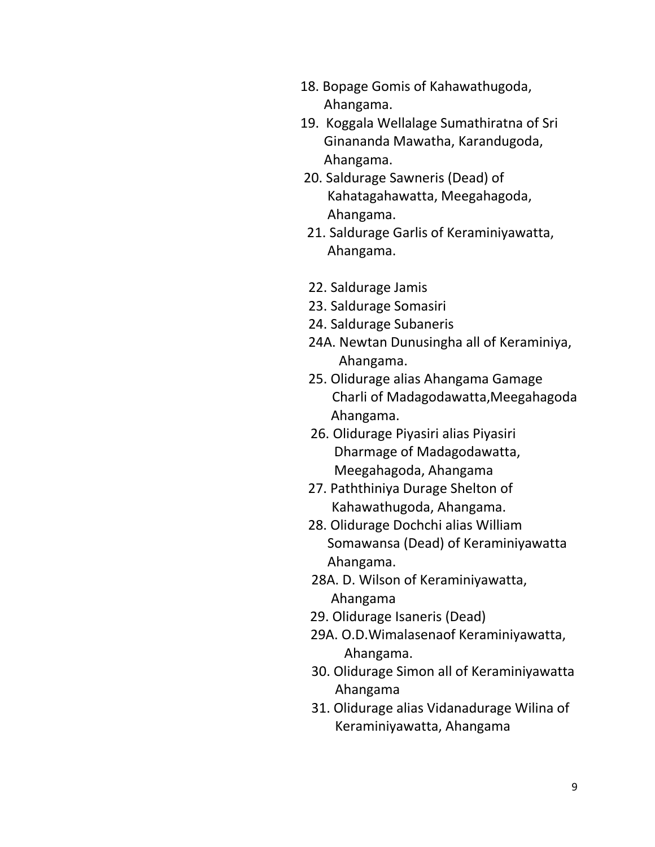- 18. Bopage Gomis of Kahawathugoda, Ahangama.
- 19. Koggala Wellalage Sumathiratna of Sri Ginananda Mawatha, Karandugoda, Ahangama.
- 20. Saldurage Sawneris (Dead) of Kahatagahawatta, Meegahagoda, Ahangama.
- 21. Saldurage Garlis of Keraminiyawatta, Ahangama.
- 22. Saldurage Jamis
- 23. Saldurage Somasiri
- 24. Saldurage Subaneris
- 24A. Newtan Dunusingha all of Keraminiya, Ahangama.
- 25. Olidurage alias Ahangama Gamage Charli of Madagodawatta,Meegahagoda Ahangama.
- 26. Olidurage Piyasiri alias Piyasiri Dharmage of Madagodawatta, Meegahagoda, Ahangama
- 27. Paththiniya Durage Shelton of Kahawathugoda, Ahangama.
- 28. Olidurage Dochchi alias William Somawansa (Dead) of Keraminiyawatta Ahangama.
- 28A. D. Wilson of Keraminiyawatta, Ahangama
- 29. Olidurage Isaneris (Dead)
- 29A. O.D.Wimalasenaof Keraminiyawatta, Ahangama.
- 30. Olidurage Simon all of Keraminiyawatta Ahangama
- 31. Olidurage alias Vidanadurage Wilina of Keraminiyawatta, Ahangama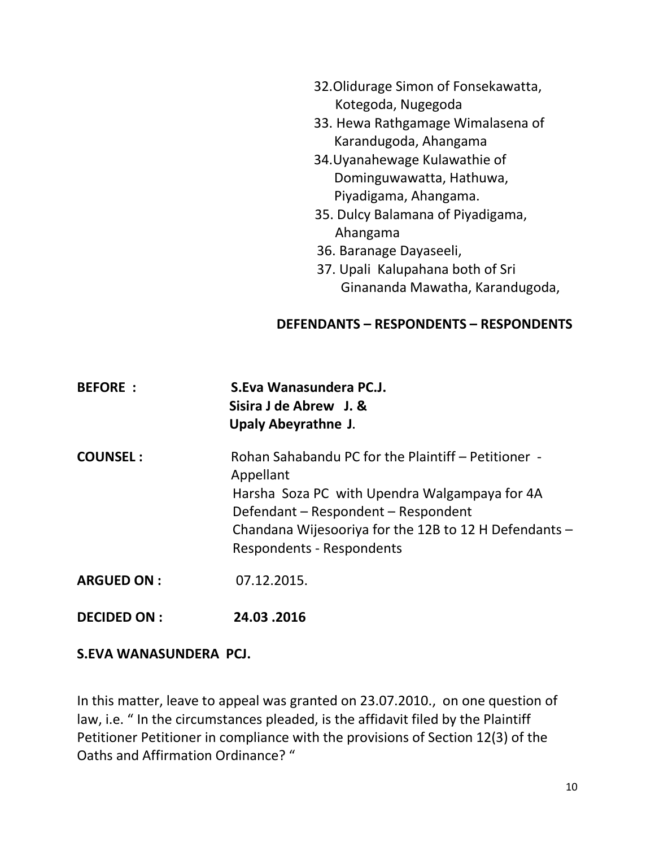- 32.Olidurage Simon of Fonsekawatta, Kotegoda, Nugegoda
- 33. Hewa Rathgamage Wimalasena of Karandugoda, Ahangama
- 34.Uyanahewage Kulawathie of Dominguwawatta, Hathuwa, Piyadigama, Ahangama.
- 35. Dulcy Balamana of Piyadigama, Ahangama
- 36. Baranage Dayaseeli,
- 37. Upali Kalupahana both of Sri Ginananda Mawatha, Karandugoda,

## **DEFENDANTS – RESPONDENTS – RESPONDENTS**

| <b>BEFORE:</b>     | S.Eva Wanasundera PC.J.<br>Sisira J de Abrew J. &<br>Upaly Abeyrathne J.                                                                                                                                                                              |
|--------------------|-------------------------------------------------------------------------------------------------------------------------------------------------------------------------------------------------------------------------------------------------------|
| <b>COUNSEL:</b>    | Rohan Sahabandu PC for the Plaintiff - Petitioner -<br>Appellant<br>Harsha Soza PC with Upendra Walgampaya for 4A<br>Defendant – Respondent – Respondent<br>Chandana Wijesooriya for the 12B to 12 H Defendants -<br><b>Respondents - Respondents</b> |
| <b>ARGUED ON:</b>  | 07.12.2015.                                                                                                                                                                                                                                           |
| <b>DECIDED ON:</b> | 24.03.2016                                                                                                                                                                                                                                            |

## **S.EVA WANASUNDERA PCJ.**

In this matter, leave to appeal was granted on 23.07.2010., on one question of law, i.e. " In the circumstances pleaded, is the affidavit filed by the Plaintiff Petitioner Petitioner in compliance with the provisions of Section 12(3) of the Oaths and Affirmation Ordinance? "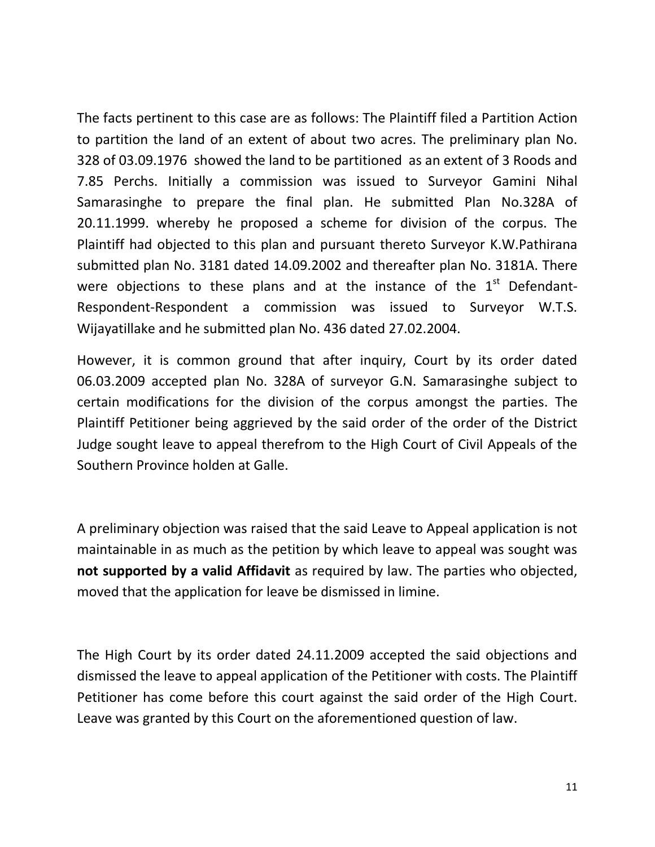The facts pertinent to this case are as follows: The Plaintiff filed a Partition Action to partition the land of an extent of about two acres. The preliminary plan No. 328 of 03.09.1976 showed the land to be partitioned as an extent of 3 Roods and 7.85 Perchs. Initially a commission was issued to Surveyor Gamini Nihal Samarasinghe to prepare the final plan. He submitted Plan No.328A of 20.11.1999. whereby he proposed a scheme for division of the corpus. The Plaintiff had objected to this plan and pursuant thereto Surveyor K.W.Pathirana submitted plan No. 3181 dated 14.09.2002 and thereafter plan No. 3181A. There were objections to these plans and at the instance of the  $1<sup>st</sup>$  Defendant-Respondent-Respondent a commission was issued to Surveyor W.T.S. Wijayatillake and he submitted plan No. 436 dated 27.02.2004.

However, it is common ground that after inquiry, Court by its order dated 06.03.2009 accepted plan No. 328A of surveyor G.N. Samarasinghe subject to certain modifications for the division of the corpus amongst the parties. The Plaintiff Petitioner being aggrieved by the said order of the order of the District Judge sought leave to appeal therefrom to the High Court of Civil Appeals of the Southern Province holden at Galle.

A preliminary objection was raised that the said Leave to Appeal application is not maintainable in as much as the petition by which leave to appeal was sought was **not supported by a valid Affidavit** as required by law. The parties who objected, moved that the application for leave be dismissed in limine.

The High Court by its order dated 24.11.2009 accepted the said objections and dismissed the leave to appeal application of the Petitioner with costs. The Plaintiff Petitioner has come before this court against the said order of the High Court. Leave was granted by this Court on the aforementioned question of law.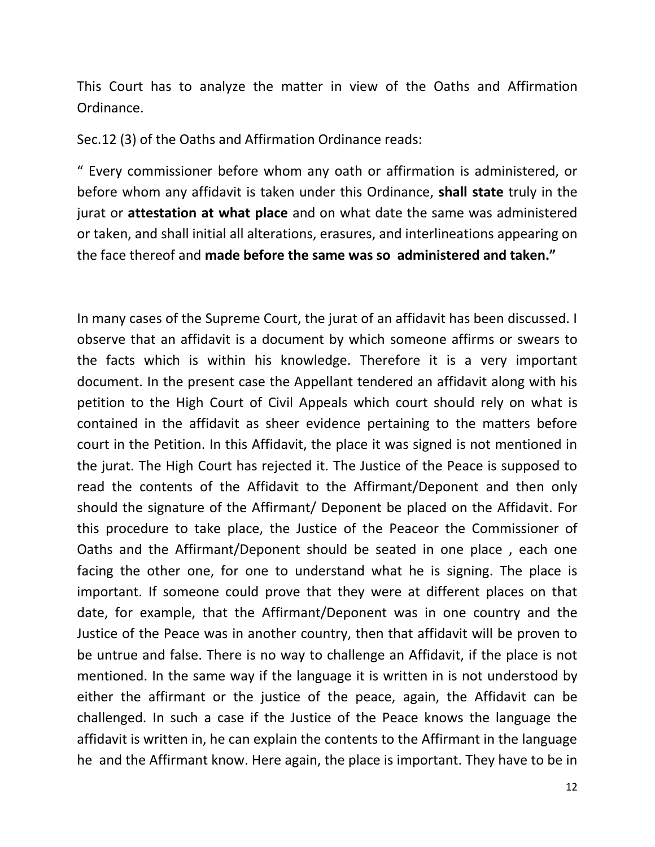This Court has to analyze the matter in view of the Oaths and Affirmation Ordinance.

Sec.12 (3) of the Oaths and Affirmation Ordinance reads:

" Every commissioner before whom any oath or affirmation is administered, or before whom any affidavit is taken under this Ordinance, **shall state** truly in the jurat or **attestation at what place** and on what date the same was administered or taken, and shall initial all alterations, erasures, and interlineations appearing on the face thereof and **made before the same was so administered and taken."**

In many cases of the Supreme Court, the jurat of an affidavit has been discussed. I observe that an affidavit is a document by which someone affirms or swears to the facts which is within his knowledge. Therefore it is a very important document. In the present case the Appellant tendered an affidavit along with his petition to the High Court of Civil Appeals which court should rely on what is contained in the affidavit as sheer evidence pertaining to the matters before court in the Petition. In this Affidavit, the place it was signed is not mentioned in the jurat. The High Court has rejected it. The Justice of the Peace is supposed to read the contents of the Affidavit to the Affirmant/Deponent and then only should the signature of the Affirmant/ Deponent be placed on the Affidavit. For this procedure to take place, the Justice of the Peaceor the Commissioner of Oaths and the Affirmant/Deponent should be seated in one place , each one facing the other one, for one to understand what he is signing. The place is important. If someone could prove that they were at different places on that date, for example, that the Affirmant/Deponent was in one country and the Justice of the Peace was in another country, then that affidavit will be proven to be untrue and false. There is no way to challenge an Affidavit, if the place is not mentioned. In the same way if the language it is written in is not understood by either the affirmant or the justice of the peace, again, the Affidavit can be challenged. In such a case if the Justice of the Peace knows the language the affidavit is written in, he can explain the contents to the Affirmant in the language he and the Affirmant know. Here again, the place is important. They have to be in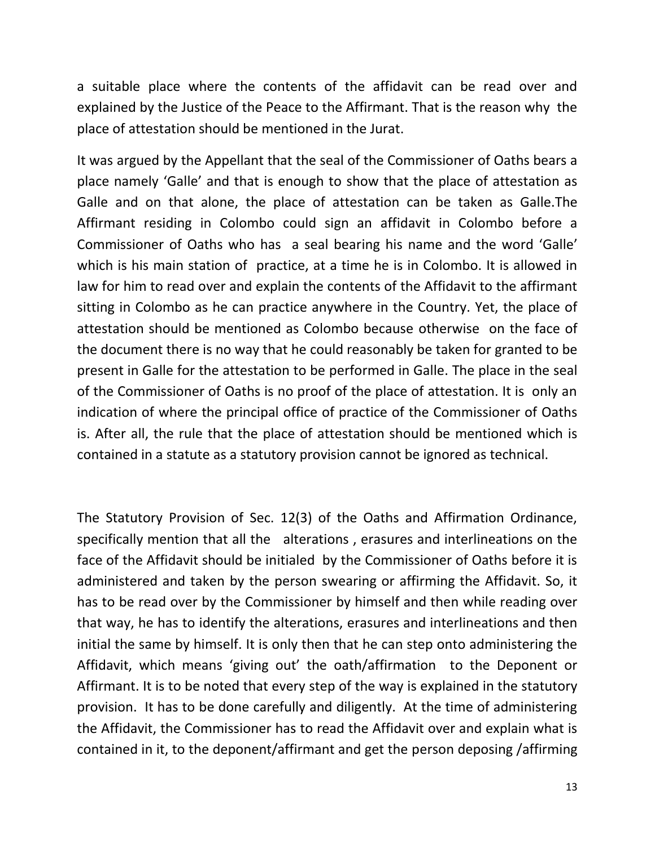a suitable place where the contents of the affidavit can be read over and explained by the Justice of the Peace to the Affirmant. That is the reason why the place of attestation should be mentioned in the Jurat.

It was argued by the Appellant that the seal of the Commissioner of Oaths bears a place namely 'Galle' and that is enough to show that the place of attestation as Galle and on that alone, the place of attestation can be taken as Galle.The Affirmant residing in Colombo could sign an affidavit in Colombo before a Commissioner of Oaths who has a seal bearing his name and the word 'Galle' which is his main station of practice, at a time he is in Colombo. It is allowed in law for him to read over and explain the contents of the Affidavit to the affirmant sitting in Colombo as he can practice anywhere in the Country. Yet, the place of attestation should be mentioned as Colombo because otherwise on the face of the document there is no way that he could reasonably be taken for granted to be present in Galle for the attestation to be performed in Galle. The place in the seal of the Commissioner of Oaths is no proof of the place of attestation. It is only an indication of where the principal office of practice of the Commissioner of Oaths is. After all, the rule that the place of attestation should be mentioned which is contained in a statute as a statutory provision cannot be ignored as technical.

The Statutory Provision of Sec. 12(3) of the Oaths and Affirmation Ordinance, specifically mention that all the alterations , erasures and interlineations on the face of the Affidavit should be initialed by the Commissioner of Oaths before it is administered and taken by the person swearing or affirming the Affidavit. So, it has to be read over by the Commissioner by himself and then while reading over that way, he has to identify the alterations, erasures and interlineations and then initial the same by himself. It is only then that he can step onto administering the Affidavit, which means 'giving out' the oath/affirmation to the Deponent or Affirmant. It is to be noted that every step of the way is explained in the statutory provision. It has to be done carefully and diligently. At the time of administering the Affidavit, the Commissioner has to read the Affidavit over and explain what is contained in it, to the deponent/affirmant and get the person deposing /affirming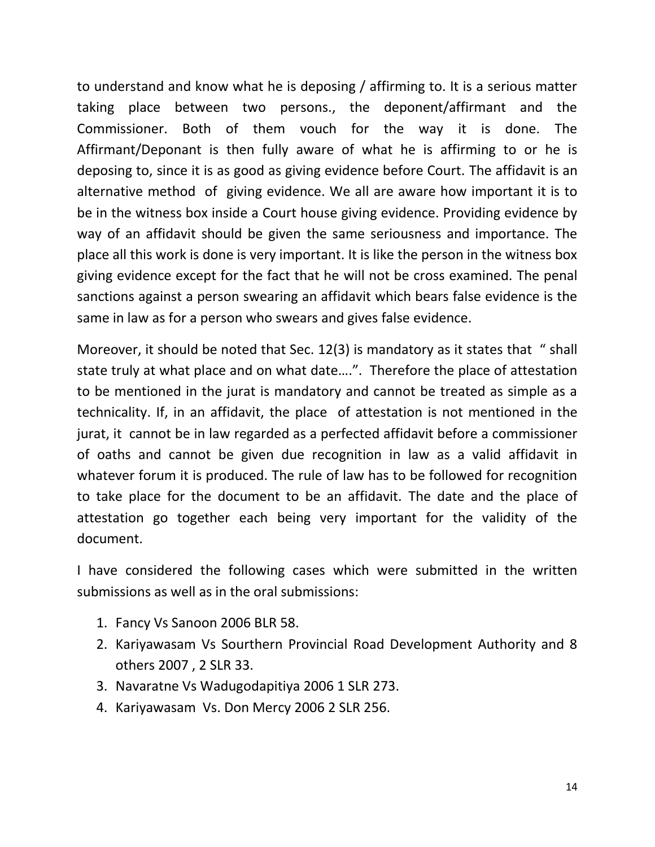to understand and know what he is deposing / affirming to. It is a serious matter taking place between two persons., the deponent/affirmant and the Commissioner. Both of them vouch for the way it is done. The Affirmant/Deponant is then fully aware of what he is affirming to or he is deposing to, since it is as good as giving evidence before Court. The affidavit is an alternative method of giving evidence. We all are aware how important it is to be in the witness box inside a Court house giving evidence. Providing evidence by way of an affidavit should be given the same seriousness and importance. The place all this work is done is very important. It is like the person in the witness box giving evidence except for the fact that he will not be cross examined. The penal sanctions against a person swearing an affidavit which bears false evidence is the same in law as for a person who swears and gives false evidence.

Moreover, it should be noted that Sec. 12(3) is mandatory as it states that " shall state truly at what place and on what date….". Therefore the place of attestation to be mentioned in the jurat is mandatory and cannot be treated as simple as a technicality. If, in an affidavit, the place of attestation is not mentioned in the jurat, it cannot be in law regarded as a perfected affidavit before a commissioner of oaths and cannot be given due recognition in law as a valid affidavit in whatever forum it is produced. The rule of law has to be followed for recognition to take place for the document to be an affidavit. The date and the place of attestation go together each being very important for the validity of the document.

I have considered the following cases which were submitted in the written submissions as well as in the oral submissions:

- 1. Fancy Vs Sanoon 2006 BLR 58.
- 2. Kariyawasam Vs Sourthern Provincial Road Development Authority and 8 others 2007 , 2 SLR 33.
- 3. Navaratne Vs Wadugodapitiya 2006 1 SLR 273.
- 4. Kariyawasam Vs. Don Mercy 2006 2 SLR 256.